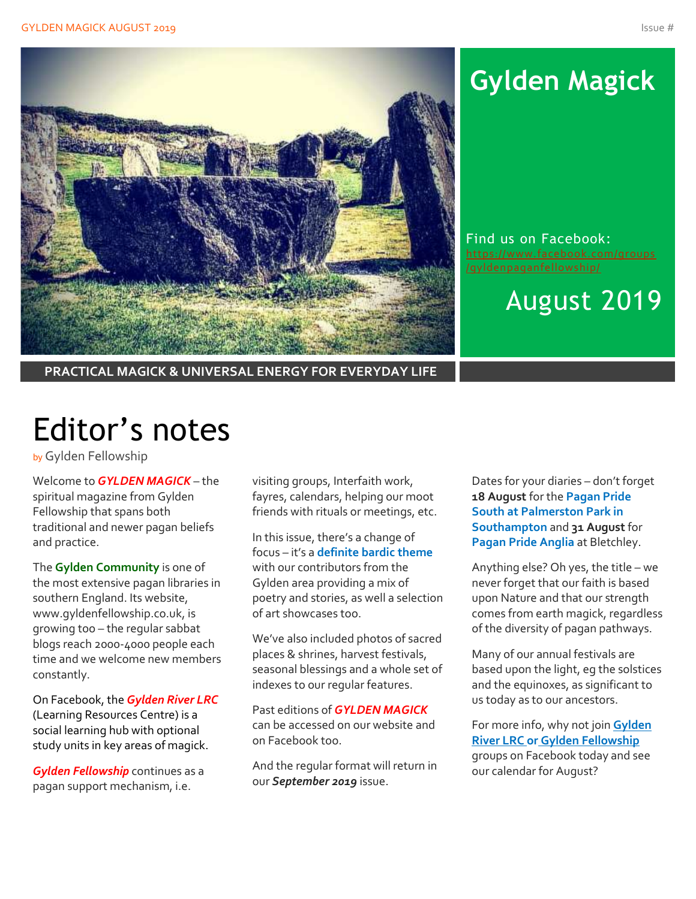

# **Gylden Magick**

Find us on Facebook: [https://www.facebook.com/groups](https://www.facebook.com/groups/gyldenpaganfellowship/) [/gyldenpaganfellowship/](https://www.facebook.com/groups/gyldenpaganfellowship/)

## August 2019

**PRACTICAL MAGICK & UNIVERSAL ENERGY FOR EVERYDAY LIFE**

# Editor's notes

by Gylden Fellowship

Welcome to *GYLDEN MAGICK* – the spiritual magazine from Gylden Fellowship that spans both traditional and newer pagan beliefs and practice.

The **Gylden Community** is one of the most extensive pagan libraries in southern England. Its website, www.gyldenfellowship.co.uk, is growing too – the regular sabbat blogs reach 2000-4000 people each time and we welcome new members constantly.

On Facebook, the *Gylden River LRC* (Learning Resources Centre) is a social learning hub with optional study units in key areas of magick.

*Gylden Fellowship* continues as a pagan support mechanism, i.e.

visiting groups, Interfaith work, fayres, calendars, helping our moot friends with rituals or meetings, etc.

In this issue, there's a change of focus – it's a **definite bardic theme** with our contributors from the Gylden area providing a mix of poetry and stories, as well a selection of art showcases too.

We've also included photos of sacred places & shrines, harvest festivals, seasonal blessings and a whole set of indexes to our regular features.

Past editions of *GYLDEN MAGICK* can be accessed on our website and on Facebook too.

And the regular format will return in our *September 2019* issue.

Dates for your diaries – don't forget **18 August** for the **Pagan Pride South at Palmerston Park in Southampton** and **31 August** for **Pagan Pride Anglia** at Bletchley.

Anything else? Oh yes, the title – we never forget that our faith is based upon Nature and that our strength comes from earth magick, regardless of the diversity of pagan pathways.

Many of our annual festivals are based upon the light, eg the solstices and the equinoxes, as significant to us today as to our ancestors.

For more info, why not join **Gylden River LRC or Gylden Fellowship** groups on Facebook today and see our calendar for August?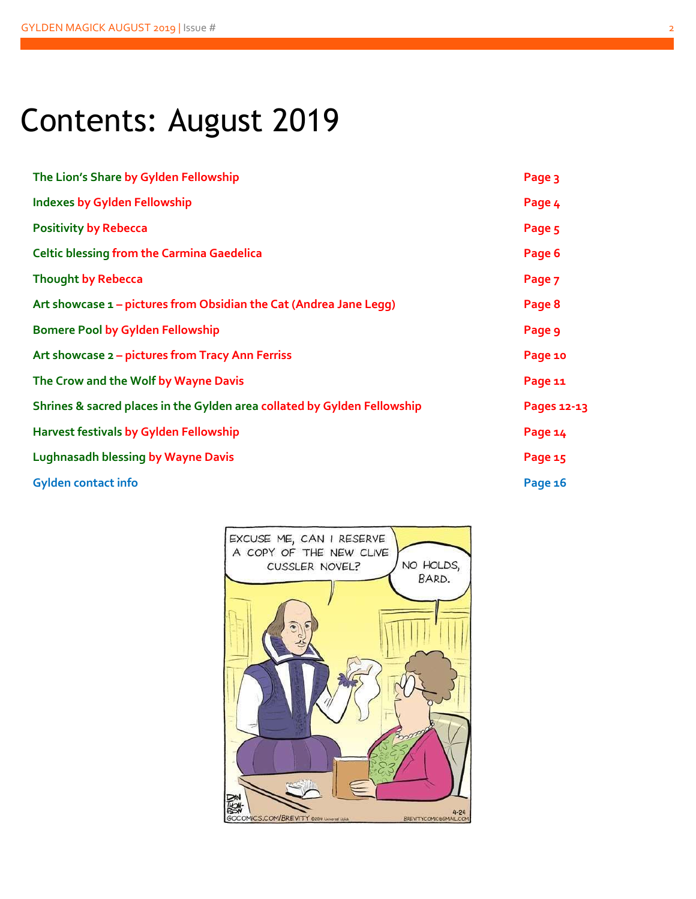# Contents: August 2019

| The Lion's Share by Gylden Fellowship                                    | Page 3      |
|--------------------------------------------------------------------------|-------------|
| <b>Indexes by Gylden Fellowship</b>                                      | Page 4      |
| <b>Positivity by Rebecca</b>                                             | Page 5      |
| <b>Celtic blessing from the Carmina Gaedelica</b>                        | Page 6      |
| <b>Thought by Rebecca</b>                                                | Page 7      |
| Art showcase 1 – pictures from Obsidian the Cat (Andrea Jane Legg)       | Page 8      |
| <b>Bomere Pool by Gylden Fellowship</b>                                  | Page 9      |
| Art showcase 2 – pictures from Tracy Ann Ferriss                         | Page 10     |
| The Crow and the Wolf by Wayne Davis                                     | Page 11     |
| Shrines & sacred places in the Gylden area collated by Gylden Fellowship | Pages 12-13 |
| Harvest festivals by Gylden Fellowship                                   | Page 14     |
| <b>Lughnasadh blessing by Wayne Davis</b>                                | Page 15     |
| <b>Gylden contact info</b>                                               | Page 16     |

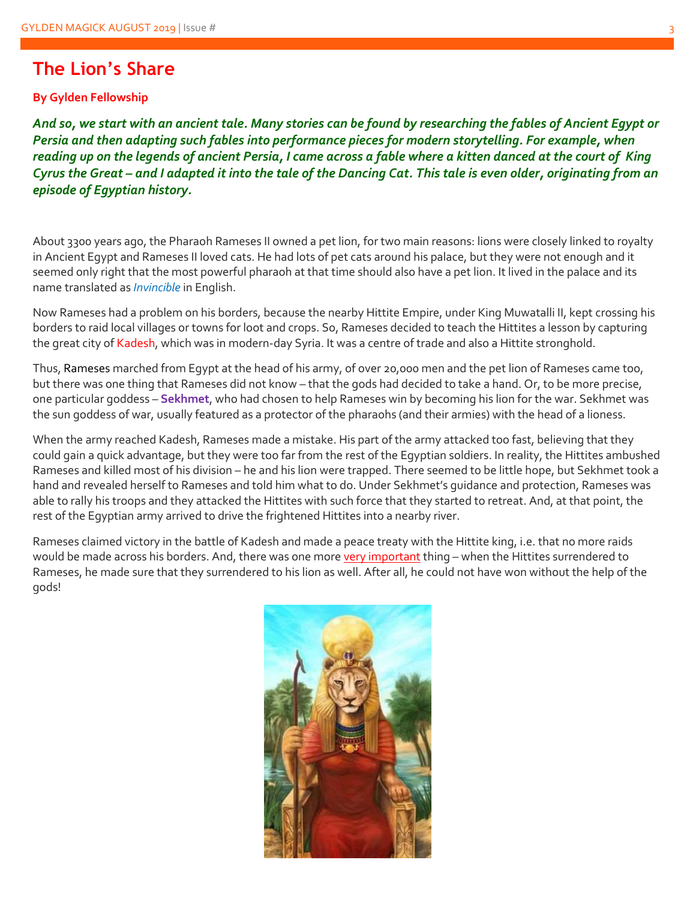### **The Lion's Share**

#### **By Gylden Fellowship**

*And so, we start with an ancient tale. Many stories can be found by researching the fables of Ancient Egypt or Persia and then adapting such fables into performance pieces for modern storytelling. For example, when reading up on the legends of ancient Persia, I came across a fable where a kitten danced at the court of King Cyrus the Great – and I adapted it into the tale of the Dancing Cat. This tale is even older, originating from an episode of Egyptian history.*

About 3300 years ago, the Pharaoh Rameses II owned a pet lion, for two main reasons: lions were closely linked to royalty in Ancient Egypt and Rameses II loved cats. He had lots of pet cats around his palace, but they were not enough and it seemed only right that the most powerful pharaoh at that time should also have a pet lion. It lived in the palace and its name translated as *Invincible* in English.

Now Rameses had a problem on his borders, because the nearby Hittite Empire, under King Muwatalli II, kept crossing his borders to raid local villages or towns for loot and crops. So, Rameses decided to teach the Hittites a lesson by capturing the great city of Kadesh, which was in modern-day Syria. It was a centre of trade and also a Hittite stronghold.

Thus, [Rameses](http://www.ancient.eu/ramesses/) marched from Egypt at the head of his army, of over 20,000 men and the pet lion of Rameses came too, but there was one thing that Rameses did not know – that the gods had decided to take a hand. Or, to be more precise, one particular goddess – **Sekhmet**, who had chosen to help Rameses win by becoming his lion for the war. Sekhmet was the sun goddess of war, usually featured as a protector of the pharaohs (and their armies) with the head of a lioness.

When the army reached Kadesh, Rameses made a mistake. His part of the army attacked too fast, believing that they could gain a quick advantage, but they were too far from the rest of the Egyptian soldiers. In reality, the Hittites ambushed Rameses and killed most of his division – he and his lion were trapped. There seemed to be little hope, but Sekhmet took a hand and revealed herself to Rameses and told him what to do. Under Sekhmet's guidance and protection, Rameses was able to rally his troops and they attacked the Hittites with such force that they started to retreat. And, at that point, the rest of the Egyptian army arrived to drive the frightened Hittites into a nearby river.

Rameses claimed victory in the battle of Kadesh and made a peace treaty with the Hittite king, i.e. that no more raids would be made across his borders. And, there was one more very important thing - when the Hittites surrendered to Rameses, he made sure that they surrendered to his lion as well. After all, he could not have won without the help of the gods!

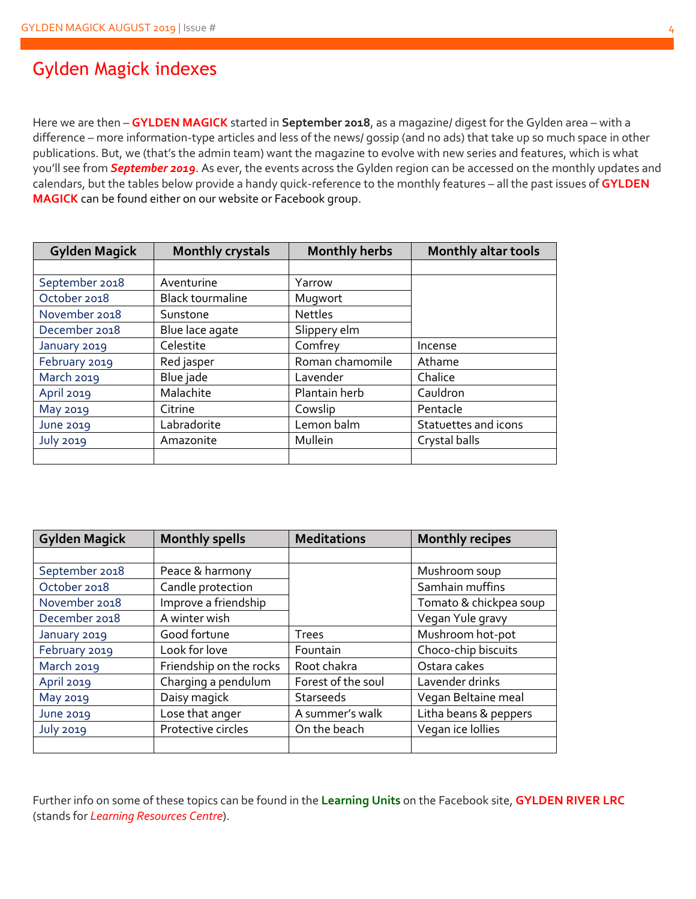### Gylden Magick indexes

Here we are then – **GYLDEN MAGICK** started in **September 2018**, as a magazine/ digest for the Gylden area – with a difference – more information-type articles and less of the news/ gossip (and no ads) that take up so much space in other publications. But, we (that's the admin team) want the magazine to evolve with new series and features, which is what you'll see from *September 2019*. As ever, the events across the Gylden region can be accessed on the monthly updates and calendars, but the tables below provide a handy quick-reference to the monthly features – all the past issues of **GYLDEN MAGICK** can be found either on our website or Facebook group.

| <b>Gylden Magick</b> | <b>Monthly crystals</b> | <b>Monthly herbs</b> | <b>Monthly altar tools</b> |
|----------------------|-------------------------|----------------------|----------------------------|
|                      |                         |                      |                            |
| September 2018       | Aventurine              | Yarrow               |                            |
| October 2018         | <b>Black tourmaline</b> | Mugwort              |                            |
| November 2018        | Sunstone                | <b>Nettles</b>       |                            |
| December 2018        | Blue lace agate         | Slippery elm         |                            |
| January 2019         | Celestite               | Comfrey              | Incense                    |
| February 2019        | Red jasper              | Roman chamomile      | Athame                     |
| March 2019           | Blue jade               | Lavender             | Chalice                    |
| April 2019           | Malachite               | Plantain herb        | Cauldron                   |
| May 2019             | Citrine                 | Cowslip              | Pentacle                   |
| <b>June 2019</b>     | Labradorite             | Lemon balm           | Statuettes and icons       |
| <b>July 2019</b>     | Amazonite               | Mullein              | Crystal balls              |
|                      |                         |                      |                            |

| <b>Gylden Magick</b> | <b>Monthly spells</b>   | <b>Meditations</b> | <b>Monthly recipes</b> |
|----------------------|-------------------------|--------------------|------------------------|
|                      |                         |                    |                        |
| September 2018       | Peace & harmony         |                    | Mushroom soup          |
| October 2018         | Candle protection       |                    | Samhain muffins        |
| November 2018        | Improve a friendship    |                    | Tomato & chickpea soup |
| December 2018        | A winter wish           |                    | Vegan Yule gravy       |
| January 2019         | Good fortune            | <b>Trees</b>       | Mushroom hot-pot       |
| February 2019        | Look for love           | Fountain           | Choco-chip biscuits    |
| March 2019           | Friendship on the rocks | Root chakra        | Ostara cakes           |
| April 2019           | Charging a pendulum     | Forest of the soul | Lavender drinks        |
| May 2019             | Daisy magick            | <b>Starseeds</b>   | Vegan Beltaine meal    |
| <b>June 2019</b>     | Lose that anger         | A summer's walk    | Litha beans & peppers  |
| <b>July 2019</b>     | Protective circles      | On the beach       | Vegan ice lollies      |
|                      |                         |                    |                        |

Further info on some of these topics can be found in the **Learning Units** on the Facebook site, **GYLDEN RIVER LRC** (stands for *Learning Resources Centre*).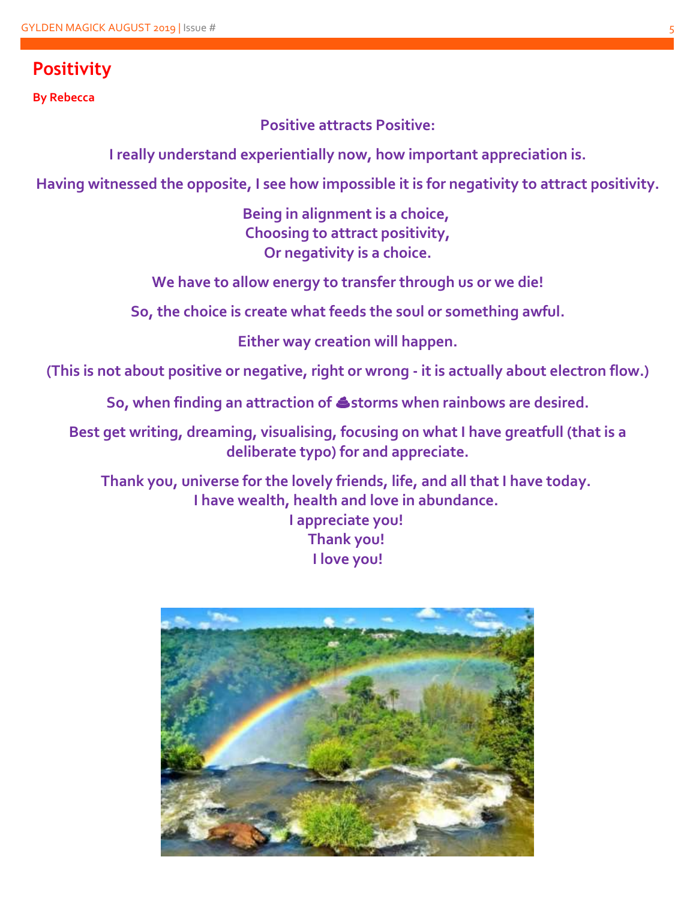#### **Positivity**

**By Rebecca**

#### **Positive attracts Positive:**

**I really understand experientially now, how important appreciation is.**

**Having witnessed the opposite, I see how impossible it is for negativity to attract positivity.**

**Being in alignment is a choice, Choosing to attract positivity, Or negativity is a choice.**

**We have to allow energy to transfer through us or we die!**

**So, the choice is create what feeds the soul or something awful.**

**Either way creation will happen.**

**(This is not about positive or negative, right or wrong - it is actually about electron flow.)**

**So, when finding an attraction of storms when rainbows are desired.**

**Best get writing, dreaming, visualising, focusing on what I have greatfull (that is a deliberate typo) for and appreciate.**

**Thank you, universe for the lovely friends, life, and all that I have today. I have wealth, health and love in abundance. I appreciate you! Thank you! I love you!**

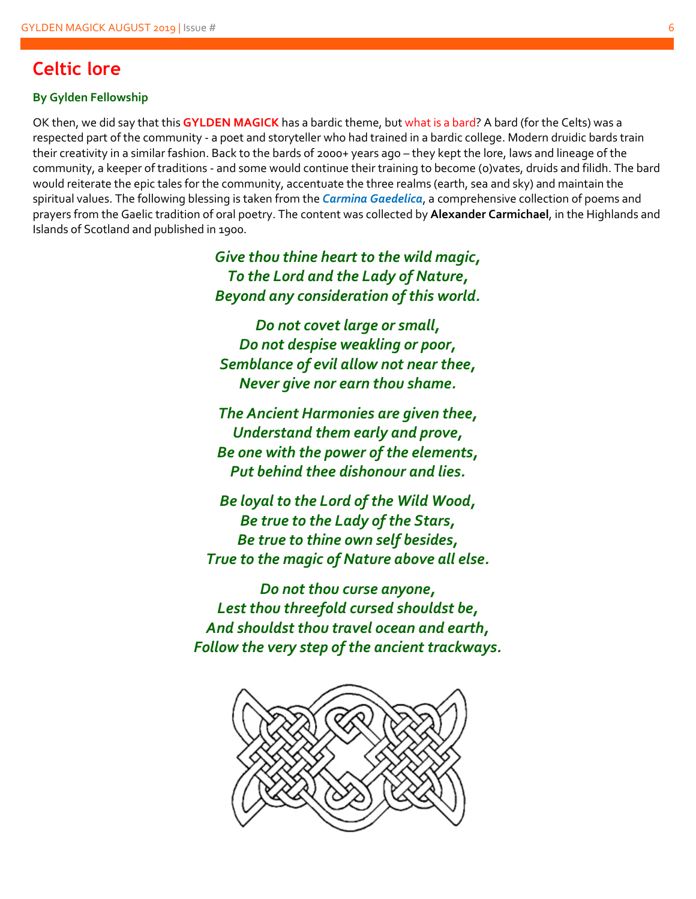### **Celtic lore**

#### **By Gylden Fellowship**

OK then, we did say that this **GYLDEN MAGICK** has a bardic theme, but what is a bard? A bard (for the Celts) was a respected part of the community - a poet and storyteller who had trained in a bardic college. Modern druidic bards train their creativity in a similar fashion. Back to the bards of 2000+ years ago – they kept the lore, laws and lineage of the community, a keeper of traditions - and some would continue their training to become (o)vates, druids and filidh. The bard would reiterate the epic tales for the community, accentuate the three realms (earth, sea and sky) and maintain the spiritual values. The following blessing is taken from the *Carmina Gaedelica*, a comprehensive collection of poems and prayers from the Gaelic tradition of oral poetry. The content was collected by **Alexander Carmichael**, in the Highlands and Islands of Scotland and published in 1900.

> *Give thou thine heart to the wild magic, To the Lord and the Lady of Nature, Beyond any consideration of this world.*

*Do not covet large or small, Do not despise weakling or poor, Semblance of evil allow not near thee, Never give nor earn thou shame.*

*The Ancient Harmonies are given thee, Understand them early and prove, Be one with the power of the elements, Put behind thee dishonour and lies.*

*Be loyal to the Lord of the Wild Wood, Be true to the Lady of the Stars, Be true to thine own self besides, True to the magic of Nature above all else.*

*Do not thou curse anyone, Lest thou threefold cursed shouldst be, And shouldst thou travel ocean and earth, Follow the very step of the ancient trackways.*

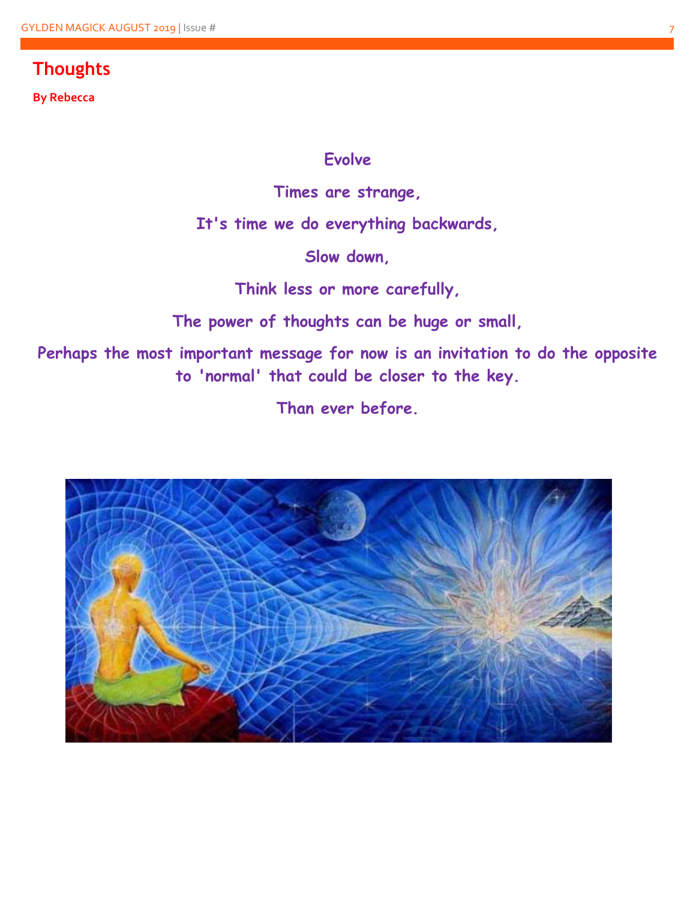### **Thoughts**

**By Rebecca**

#### **Evolve**

**Times are strange,** 

**It's time we do everything backwards,** 

**Slow down,** 

**Think less or more carefully,** 

**The power of thoughts can be huge or small,** 

**Perhaps the most important message for now is an invitation to do the opposite to 'normal' that could be closer to the key.**

**Than ever before.**

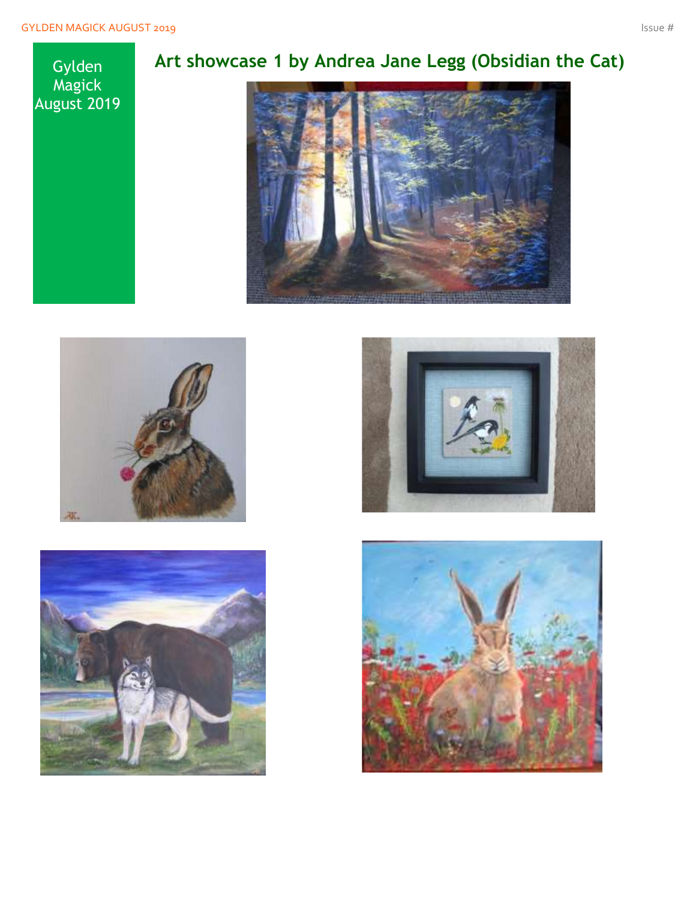Gylden Magick August 2019

## **Art showcase 1 by Andrea Jane Legg (Obsidian the Cat)**









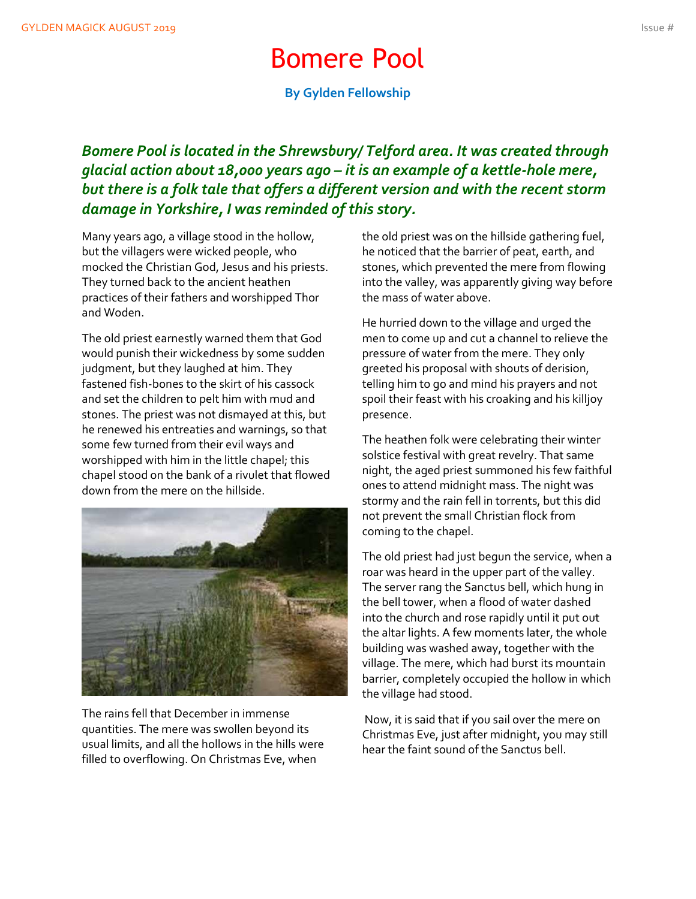## Bomere Pool

**By Gylden Fellowship**

*Bomere Pool is located in the Shrewsbury/ Telford area. It was created through glacial action about 18,000 years ago – it is an example of a kettle-hole mere, but there is a folk tale that offers a different version and with the recent storm damage in Yorkshire, I was reminded of this story.*

Many years ago, a village stood in the hollow, but the villagers were wicked people, who mocked the Christian God, Jesus and his priests. They turned back to the ancient heathen practices of their fathers and worshipped Thor and Woden.

The old priest earnestly warned them that God would punish their wickedness by some sudden judgment, but they laughed at him. They fastened fish-bones to the skirt of his cassock and set the children to pelt him with mud and stones. The priest was not dismayed at this, but he renewed his entreaties and warnings, so that some few turned from their evil ways and worshipped with him in the little chapel; this chapel stood on the bank of a rivulet that flowed down from the mere on the hillside.



The rains fell that December in immense quantities. The mere was swollen beyond its usual limits, and all the hollows in the hills were filled to overflowing. On Christmas Eve, when

the old priest was on the hillside gathering fuel, he noticed that the barrier of peat, earth, and stones, which prevented the mere from flowing into the valley, was apparently giving way before the mass of water above.

He hurried down to the village and urged the men to come up and cut a channel to relieve the pressure of water from the mere. They only greeted his proposal with shouts of derision, telling him to go and mind his prayers and not spoil their feast with his croaking and his killjoy presence.

The heathen folk were celebrating their winter solstice festival with great revelry. That same night, the aged priest summoned his few faithful ones to attend midnight mass. The night was stormy and the rain fell in torrents, but this did not prevent the small Christian flock from coming to the chapel.

The old priest had just begun the service, when a roar was heard in the upper part of the valley. The server rang the Sanctus bell, which hung in the bell tower, when a flood of water dashed into the church and rose rapidly until it put out the altar lights. A few moments later, the whole building was washed away, together with the village. The mere, which had burst its mountain barrier, completely occupied the hollow in which the village had stood.

Now, it is said that if you sail over the mere on Christmas Eve, just after midnight, you may still hear the faint sound of the Sanctus bell.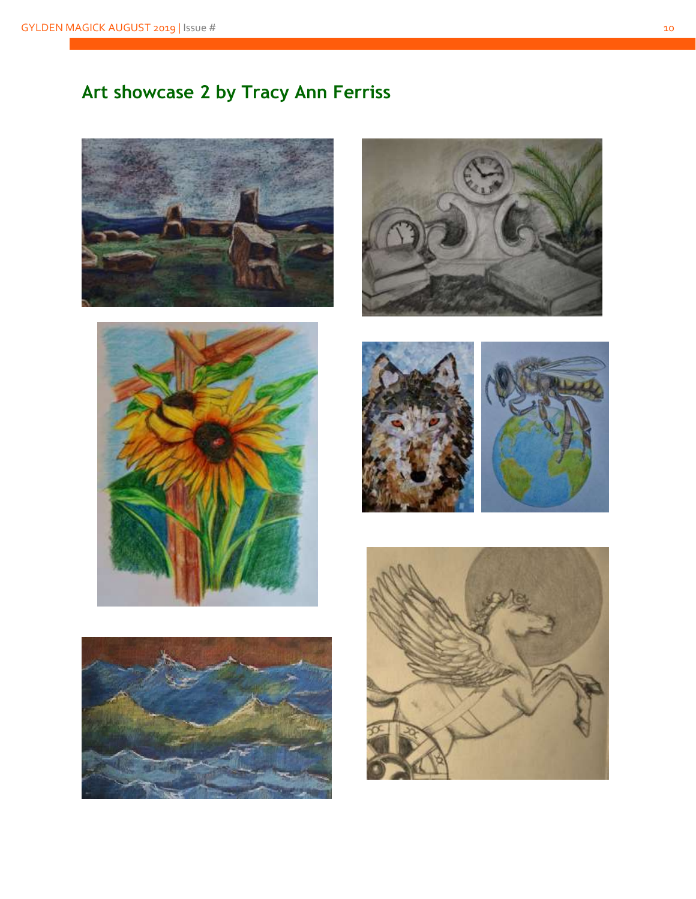## **Art showcase 2 by Tracy Ann Ferriss**











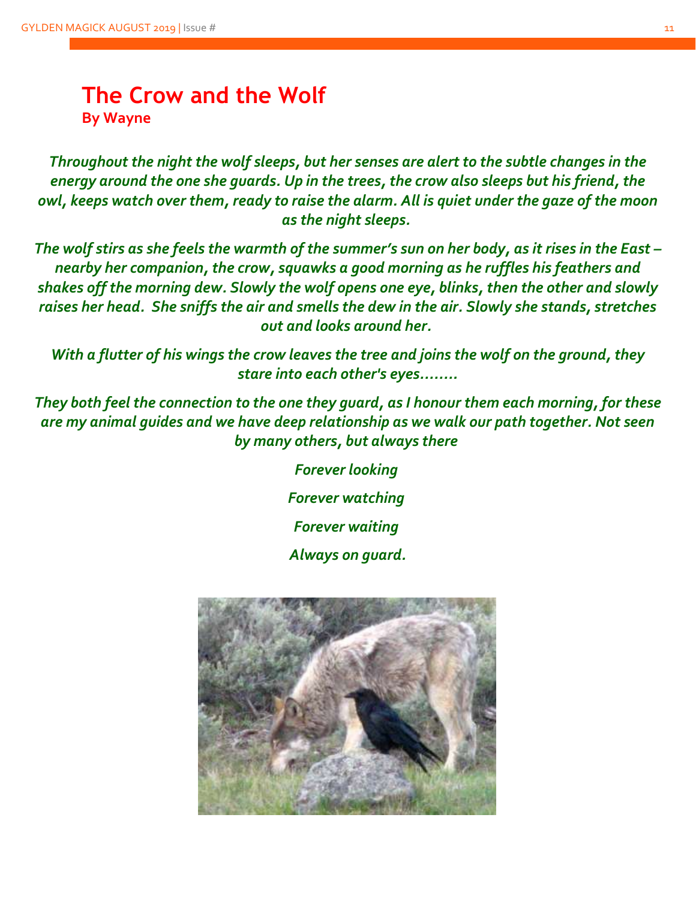### **The Crow and the Wolf By Wayne**

*Throughout the night the wolf sleeps, but her senses are alert to the subtle changes in the energy around the one she guards. Up in the trees, the crow also sleeps but his friend, the owl, keeps watch over them, ready to raise the alarm. All is quiet under the gaze of the moon as the night sleeps.*

*The wolf stirs as she feels the warmth of the summer's sun on her body, as it rises in the East – nearby her companion, the crow, squawks a good morning as he ruffles his feathers and shakes off the morning dew. Slowly the wolf opens one eye, blinks, then the other and slowly raises her head. She sniffs the air and smells the dew in the air. Slowly she stands, stretches out and looks around her.*

*With a flutter of his wings the crow leaves the tree and joins the wolf on the ground, they stare into each other's eyes........*

*They both feel the connection to the one they guard, as I honour them each morning, for these are my animal guides and we have deep relationship as we walk our path together. Not seen by many others, but always there*

> *Forever looking Forever watching Forever waiting Always on guard.*

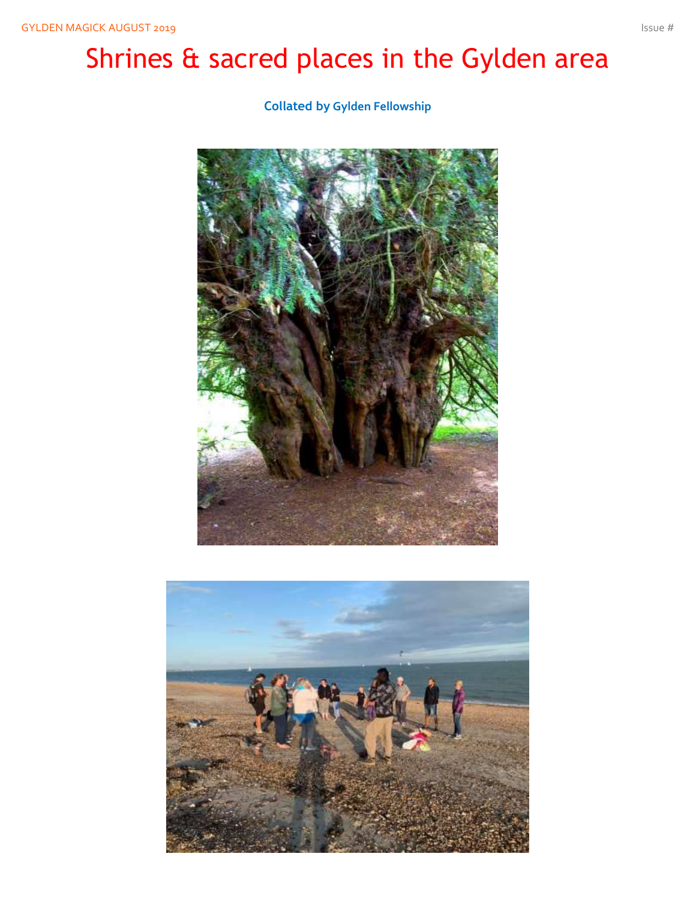# Shrines & sacred places in the Gylden area

**Collated by Gylden Fellowship**



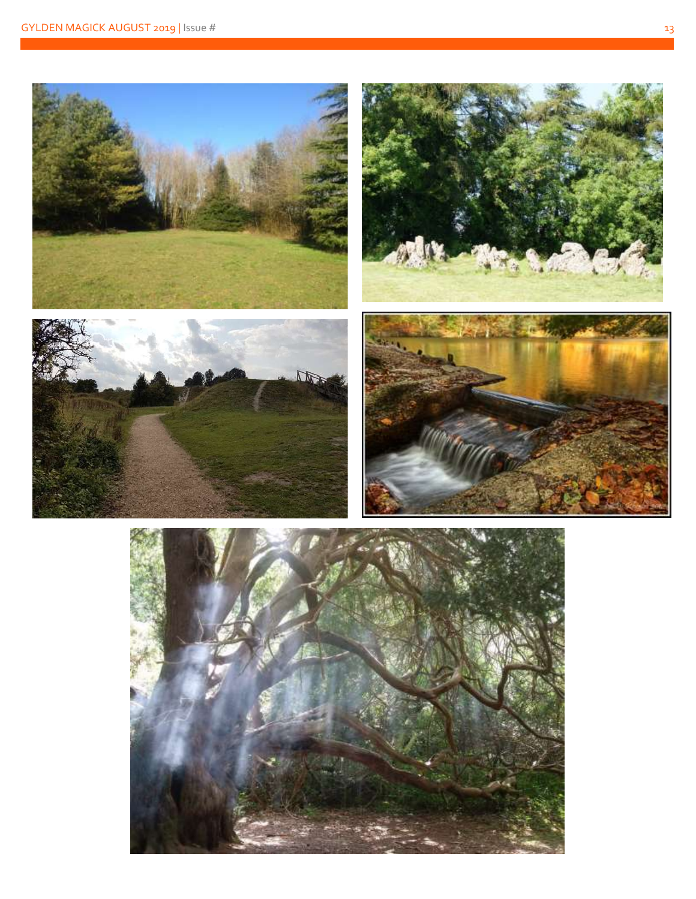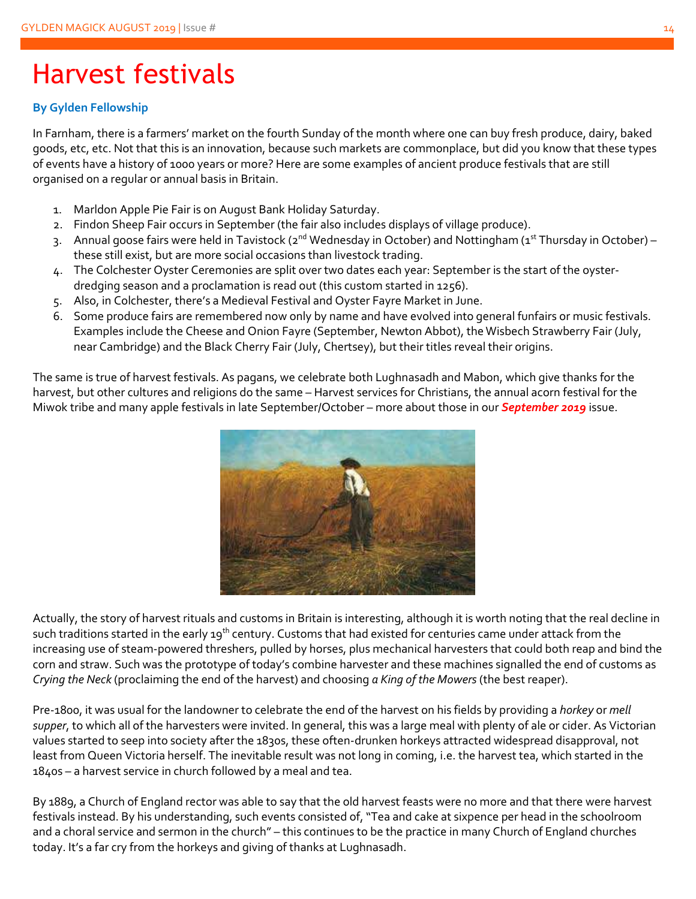# Harvest festivals

#### **By Gylden Fellowship**

In Farnham, there is a farmers' market on the fourth Sunday of the month where one can buy fresh produce, dairy, baked goods, etc, etc. Not that this is an innovation, because such markets are commonplace, but did you know that these types of events have a history of 1000 years or more? Here are some examples of ancient produce festivals that are still organised on a regular or annual basis in Britain.

- 1. Marldon Apple Pie Fair is on August Bank Holiday Saturday.
- 2. Findon Sheep Fair occurs in September (the fair also includes displays of village produce).
- 3. Annual goose fairs were held in Tavistock (2<sup>nd</sup> Wednesday in October) and Nottingham (1<sup>st</sup> Thursday in October) these still exist, but are more social occasions than livestock trading.
- 4. The Colchester Oyster Ceremonies are split over two dates each year: September is the start of the oysterdredging season and a proclamation is read out (this custom started in 1256).
- 5. Also, in Colchester, there's a Medieval Festival and Oyster Fayre Market in June.
- 6. Some produce fairs are remembered now only by name and have evolved into general funfairs or music festivals. Examples include the Cheese and Onion Fayre (September, Newton Abbot), the Wisbech Strawberry Fair (July, near Cambridge) and the Black Cherry Fair (July, Chertsey), but their titles reveal their origins.

The same is true of harvest festivals. As pagans, we celebrate both Lughnasadh and Mabon, which give thanks for the harvest, but other cultures and religions do the same – Harvest services for Christians, the annual acorn festival for the Miwok tribe and many apple festivals in late September/October – more about those in our *September 2019* issue.



Actually, the story of harvest rituals and customs in Britain is interesting, although it is worth noting that the real decline in such traditions started in the early 19<sup>th</sup> century. Customs that had existed for centuries came under attack from the increasing use of steam-powered threshers, pulled by horses, plus mechanical harvesters that could both reap and bind the corn and straw. Such was the prototype of today's combine harvester and these machines signalled the end of customs as *Crying the Neck* (proclaiming the end of the harvest) and choosing *a King of the Mowers* (the best reaper).

Pre-1800, it was usual for the landowner to celebrate the end of the harvest on his fields by providing a *horkey* or *mell supper*, to which all of the harvesters were invited. In general, this was a large meal with plenty of ale or cider. As Victorian values started to seep into society after the 1830s, these often-drunken horkeys attracted widespread disapproval, not least from Queen Victoria herself. The inevitable result was not long in coming, i.e. the harvest tea, which started in the 1840s – a harvest service in church followed by a meal and tea.

By 1889, a Church of England rector was able to say that the old harvest feasts were no more and that there were harvest festivals instead. By his understanding, such events consisted of, "Tea and cake at sixpence per head in the schoolroom and a choral service and sermon in the church" – this continues to be the practice in many Church of England churches today. It's a far cry from the horkeys and giving of thanks at Lughnasadh.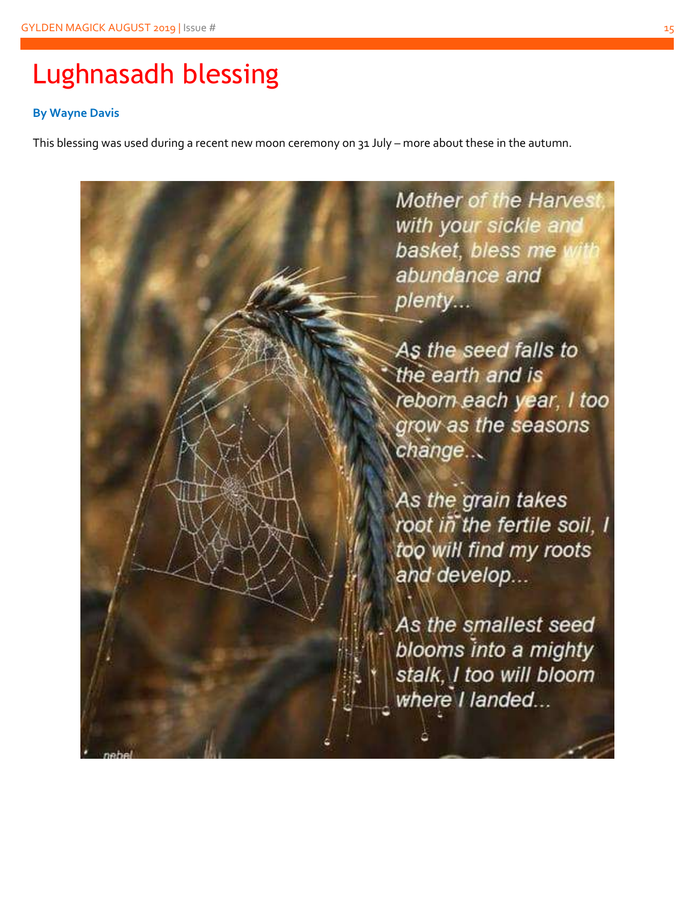## Lughnasadh blessing

#### **By Wayne Davis**

This blessing was used during a recent new moon ceremony on 31 July – more about these in the autumn.

**Mother of the Harves** with your sickle and basket, bless me wit abundance and plenty...

As the seed falls to the earth and is reborn each year, I too grow as the seasons change...

As the grain takes root in the fertile soil, I too will find my roots and develop...

As the smallest seed blooms into a mighty stalk, I too will bloom where I landed...